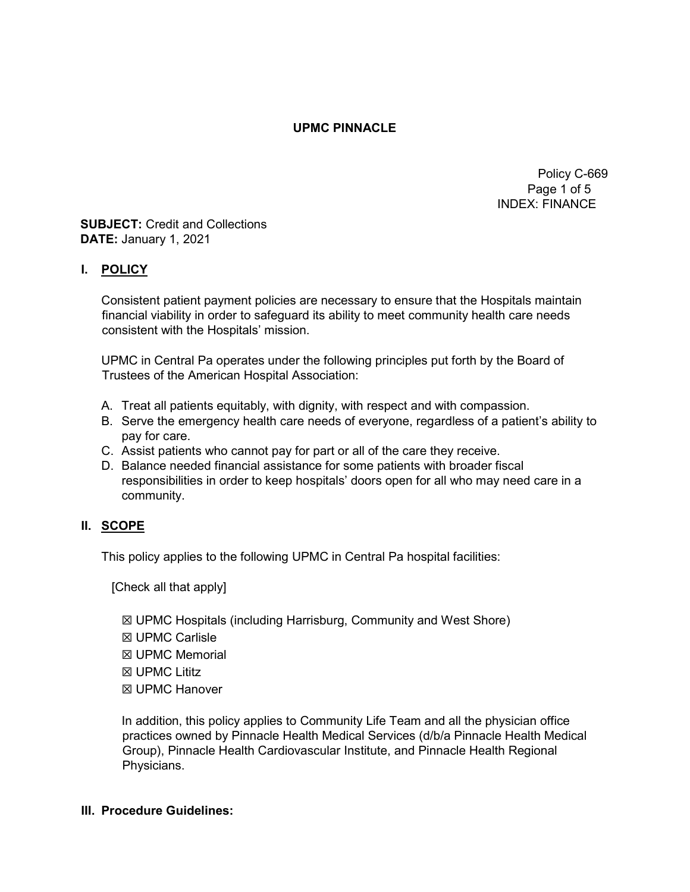### UPMC PINNACLE

 Policy C-669 Page 1 of 5 INDEX: FINANCE

#### SUBJECT: Credit and Collections DATE: January 1, 2021

## I. POLICY

Consistent patient payment policies are necessary to ensure that the Hospitals maintain financial viability in order to safeguard its ability to meet community health care needs consistent with the Hospitals' mission.

UPMC in Central Pa operates under the following principles put forth by the Board of Trustees of the American Hospital Association:

- A. Treat all patients equitably, with dignity, with respect and with compassion.
- B. Serve the emergency health care needs of everyone, regardless of a patient's ability to pay for care.
- C. Assist patients who cannot pay for part or all of the care they receive.
- D. Balance needed financial assistance for some patients with broader fiscal responsibilities in order to keep hospitals' doors open for all who may need care in a community.

#### II. SCOPE

This policy applies to the following UPMC in Central Pa hospital facilities:

[Check all that apply]

- ☒ UPMC Hospitals (including Harrisburg, Community and West Shore)
- ☒ UPMC Carlisle
- ☒ UPMC Memorial
- ☒ UPMC Lititz
- ☒ UPMC Hanover

In addition, this policy applies to Community Life Team and all the physician office practices owned by Pinnacle Health Medical Services (d/b/a Pinnacle Health Medical Group), Pinnacle Health Cardiovascular Institute, and Pinnacle Health Regional Physicians.

#### III. Procedure Guidelines: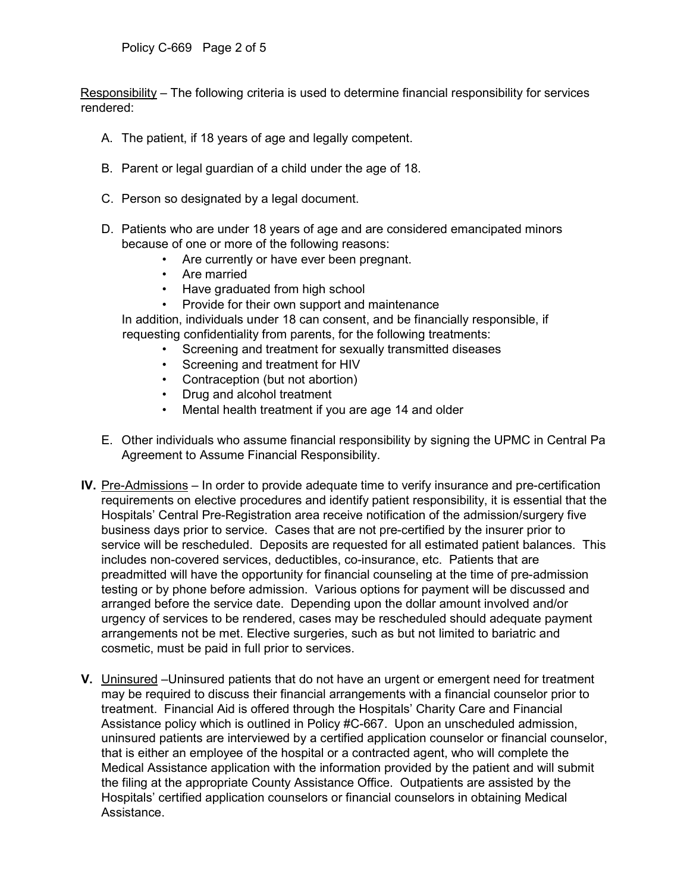Responsibility – The following criteria is used to determine financial responsibility for services rendered:

- A. The patient, if 18 years of age and legally competent.
- B. Parent or legal guardian of a child under the age of 18.
- C. Person so designated by a legal document.
- D. Patients who are under 18 years of age and are considered emancipated minors because of one or more of the following reasons:
	- Are currently or have ever been pregnant.
	- Are married
	- Have graduated from high school
	- Provide for their own support and maintenance

In addition, individuals under 18 can consent, and be financially responsible, if requesting confidentiality from parents, for the following treatments:

- Screening and treatment for sexually transmitted diseases
- Screening and treatment for HIV
- Contraception (but not abortion)
- Drug and alcohol treatment
- Mental health treatment if you are age 14 and older
- E. Other individuals who assume financial responsibility by signing the UPMC in Central Pa Agreement to Assume Financial Responsibility.
- IV. Pre-Admissions In order to provide adequate time to verify insurance and pre-certification requirements on elective procedures and identify patient responsibility, it is essential that the Hospitals' Central Pre-Registration area receive notification of the admission/surgery five business days prior to service. Cases that are not pre-certified by the insurer prior to service will be rescheduled. Deposits are requested for all estimated patient balances. This includes non-covered services, deductibles, co-insurance, etc. Patients that are preadmitted will have the opportunity for financial counseling at the time of pre-admission testing or by phone before admission. Various options for payment will be discussed and arranged before the service date. Depending upon the dollar amount involved and/or urgency of services to be rendered, cases may be rescheduled should adequate payment arrangements not be met. Elective surgeries, such as but not limited to bariatric and cosmetic, must be paid in full prior to services.
- V. Uninsured –Uninsured patients that do not have an urgent or emergent need for treatment may be required to discuss their financial arrangements with a financial counselor prior to treatment. Financial Aid is offered through the Hospitals' Charity Care and Financial Assistance policy which is outlined in Policy #C-667. Upon an unscheduled admission, uninsured patients are interviewed by a certified application counselor or financial counselor, that is either an employee of the hospital or a contracted agent, who will complete the Medical Assistance application with the information provided by the patient and will submit the filing at the appropriate County Assistance Office. Outpatients are assisted by the Hospitals' certified application counselors or financial counselors in obtaining Medical Assistance.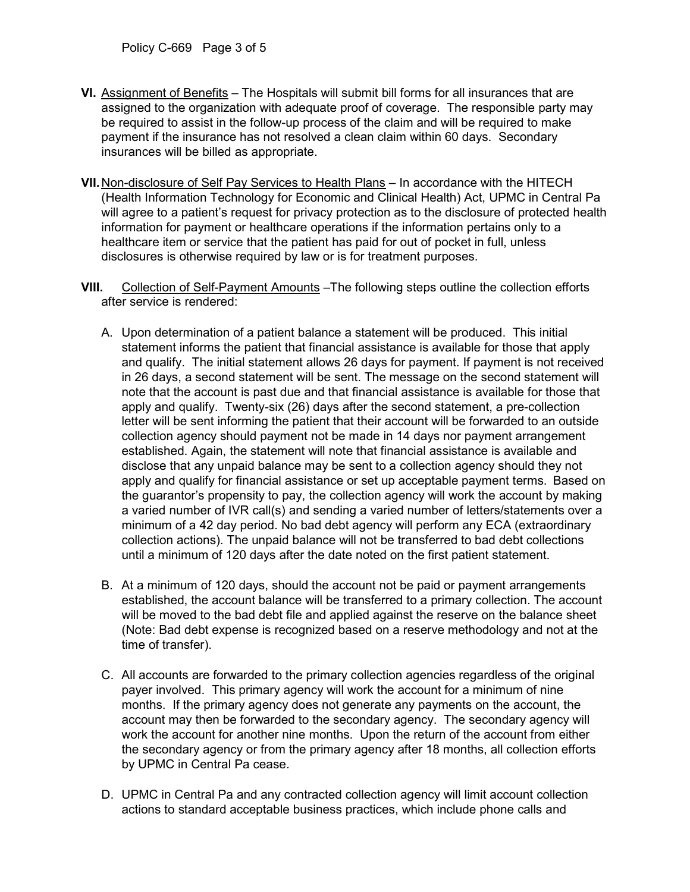- VI. Assignment of Benefits The Hospitals will submit bill forms for all insurances that are assigned to the organization with adequate proof of coverage. The responsible party may be required to assist in the follow-up process of the claim and will be required to make payment if the insurance has not resolved a clean claim within 60 days. Secondary insurances will be billed as appropriate.
- VII. Non-disclosure of Self Pay Services to Health Plans In accordance with the HITECH (Health Information Technology for Economic and Clinical Health) Act, UPMC in Central Pa will agree to a patient's request for privacy protection as to the disclosure of protected health information for payment or healthcare operations if the information pertains only to a healthcare item or service that the patient has paid for out of pocket in full, unless disclosures is otherwise required by law or is for treatment purposes.
- VIII. Collection of Self-Payment Amounts –The following steps outline the collection efforts after service is rendered:
	- A. Upon determination of a patient balance a statement will be produced. This initial statement informs the patient that financial assistance is available for those that apply and qualify. The initial statement allows 26 days for payment. If payment is not received in 26 days, a second statement will be sent. The message on the second statement will note that the account is past due and that financial assistance is available for those that apply and qualify. Twenty-six (26) days after the second statement, a pre-collection letter will be sent informing the patient that their account will be forwarded to an outside collection agency should payment not be made in 14 days nor payment arrangement established. Again, the statement will note that financial assistance is available and disclose that any unpaid balance may be sent to a collection agency should they not apply and qualify for financial assistance or set up acceptable payment terms. Based on the guarantor's propensity to pay, the collection agency will work the account by making a varied number of IVR call(s) and sending a varied number of letters/statements over a minimum of a 42 day period. No bad debt agency will perform any ECA (extraordinary collection actions). The unpaid balance will not be transferred to bad debt collections until a minimum of 120 days after the date noted on the first patient statement.
	- B. At a minimum of 120 days, should the account not be paid or payment arrangements established, the account balance will be transferred to a primary collection. The account will be moved to the bad debt file and applied against the reserve on the balance sheet (Note: Bad debt expense is recognized based on a reserve methodology and not at the time of transfer).
	- C. All accounts are forwarded to the primary collection agencies regardless of the original payer involved. This primary agency will work the account for a minimum of nine months. If the primary agency does not generate any payments on the account, the account may then be forwarded to the secondary agency. The secondary agency will work the account for another nine months. Upon the return of the account from either the secondary agency or from the primary agency after 18 months, all collection efforts by UPMC in Central Pa cease.
	- D. UPMC in Central Pa and any contracted collection agency will limit account collection actions to standard acceptable business practices, which include phone calls and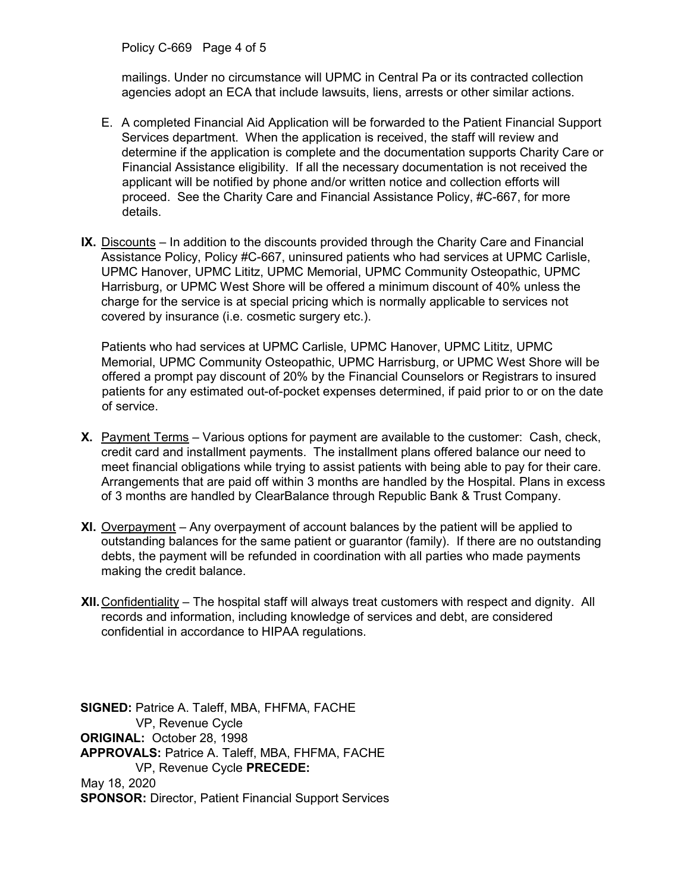Policy C-669 Page 4 of 5

mailings. Under no circumstance will UPMC in Central Pa or its contracted collection agencies adopt an ECA that include lawsuits, liens, arrests or other similar actions.

- E. A completed Financial Aid Application will be forwarded to the Patient Financial Support Services department. When the application is received, the staff will review and determine if the application is complete and the documentation supports Charity Care or Financial Assistance eligibility. If all the necessary documentation is not received the applicant will be notified by phone and/or written notice and collection efforts will proceed. See the Charity Care and Financial Assistance Policy, #C-667, for more details.
- IX. Discounts In addition to the discounts provided through the Charity Care and Financial Assistance Policy, Policy #C-667, uninsured patients who had services at UPMC Carlisle, UPMC Hanover, UPMC Lititz, UPMC Memorial, UPMC Community Osteopathic, UPMC Harrisburg, or UPMC West Shore will be offered a minimum discount of 40% unless the charge for the service is at special pricing which is normally applicable to services not covered by insurance (i.e. cosmetic surgery etc.).

Patients who had services at UPMC Carlisle, UPMC Hanover, UPMC Lititz, UPMC Memorial, UPMC Community Osteopathic, UPMC Harrisburg, or UPMC West Shore will be offered a prompt pay discount of 20% by the Financial Counselors or Registrars to insured patients for any estimated out-of-pocket expenses determined, if paid prior to or on the date of service.

- X. Payment Terms Various options for payment are available to the customer: Cash, check, credit card and installment payments. The installment plans offered balance our need to meet financial obligations while trying to assist patients with being able to pay for their care. Arrangements that are paid off within 3 months are handled by the Hospital. Plans in excess of 3 months are handled by ClearBalance through Republic Bank & Trust Company.
- XI. Overpayment Any overpayment of account balances by the patient will be applied to outstanding balances for the same patient or guarantor (family). If there are no outstanding debts, the payment will be refunded in coordination with all parties who made payments making the credit balance.
- XII. Confidentiality The hospital staff will always treat customers with respect and dignity. All records and information, including knowledge of services and debt, are considered confidential in accordance to HIPAA regulations.

SIGNED: Patrice A. Taleff, MBA, FHFMA, FACHE VP, Revenue Cycle ORIGINAL: October 28, 1998 APPROVALS: Patrice A. Taleff, MBA, FHFMA, FACHE VP, Revenue Cycle PRECEDE: May 18, 2020 SPONSOR: Director, Patient Financial Support Services